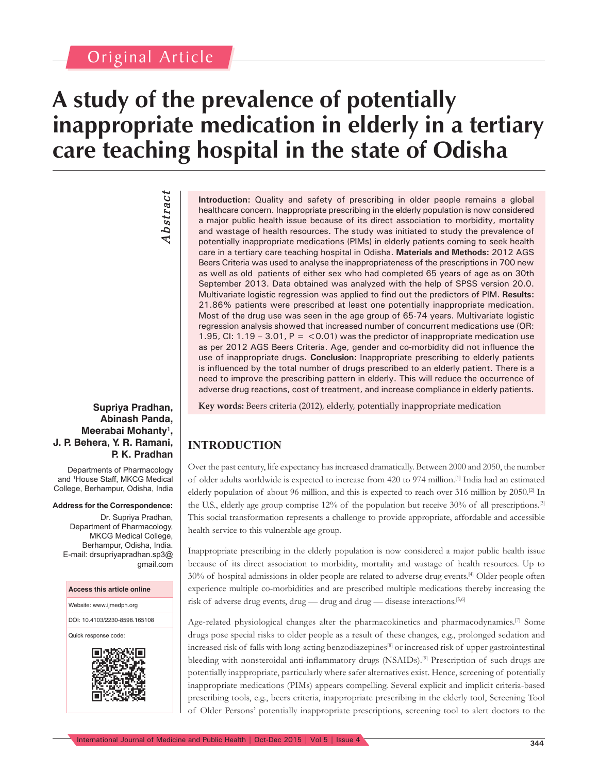## Original Article

## **A study of the prevalence of potentially inappropriate medication in elderly in a tertiary care teaching hospital in the state of Odisha**

# Abstract *Abstract*

#### **Supriya Pradhan, Abinash Panda, Meerabai Mohanty1 , J. P. Behera, Y. R. Ramani, P. K. Pradhan**

Departments of Pharmacology and <sup>1</sup> House Staff, MKCG Medical College, Berhampur, Odisha, India

#### **Address for the Correspondence:**

Dr. Supriya Pradhan, Department of Pharmacology, MKCG Medical College, Berhampur, Odisha, India. E-mail: drsupriyapradhan.sp3@ gmail.com

#### **Access this article online**

Website: www.ijmedph.org

DOI: 10.4103/2230-8598.165108

Quick response code:



**Introduction:** Quality and safety of prescribing in older people remains a global healthcare concern. Inappropriate prescribing in the elderly population is now considered a major public health issue because of its direct association to morbidity, mortality and wastage of health resources. The study was initiated to study the prevalence of potentially inappropriate medications (PIMs) in elderly patients coming to seek health care in a tertiary care teaching hospital in Odisha. **Materials and Methods:** 2012 AGS Beers Criteria was used to analyse the inappropriateness of the prescriptions in 700 new as well as old patients of either sex who had completed 65 years of age as on 30th September 2013. Data obtained was analyzed with the help of SPSS version 20.0. Multivariate logistic regression was applied to find out the predictors of PIM. **Results:** 21.86% patients were prescribed at least one potentially inappropriate medication. Most of the drug use was seen in the age group of 65-74 years. Multivariate logistic regression analysis showed that increased number of concurrent medications use (OR: 1.95, CI: 1.19 – 3.01, P =  $<$  0.01) was the predictor of inappropriate medication use as per 2012 AGS Beers Criteria. Age, gender and co-morbidity did not influence the use of inappropriate drugs. **Conclusion:** Inappropriate prescribing to elderly patients is influenced by the total number of drugs prescribed to an elderly patient. There is a need to improve the prescribing pattern in elderly. This will reduce the occurrence of adverse drug reactions, cost of treatment, and increase compliance in elderly patients.

**Key words:** Beers criteria (2012), elderly, potentially inappropriate medication

### **INTRODUCTION**

Over the past century, life expectancy has increased dramatically. Between 2000 and 2050, the number of older adults worldwide is expected to increase from 420 to 974 million.[1] India had an estimated elderly population of about 96 million, and this is expected to reach over 316 million by 2050.<sup>[2]</sup> In the U.S., elderly age group comprise 12% of the population but receive 30% of all prescriptions.[3] This social transformation represents a challenge to provide appropriate, affordable and accessible health service to this vulnerable age group.

Inappropriate prescribing in the elderly population is now considered a major public health issue because of its direct association to morbidity, mortality and wastage of health resources. Up to 30% of hospital admissions in older people are related to adverse drug events.[4] Older people often experience multiple co-morbidities and are prescribed multiple medications thereby increasing the risk of adverse drug events, drug — drug and drug — disease interactions.<sup>[5,6]</sup>

Age-related physiological changes alter the pharmacokinetics and pharmacodynamics.[7] Some drugs pose special risks to older people as a result of these changes, e.g., prolonged sedation and increased risk of falls with long-acting benzodiazepines[8] or increased risk of upper gastrointestinal bleeding with nonsteroidal anti-inflammatory drugs (NSAIDs).<sup>[9]</sup> Prescription of such drugs are potentially inappropriate, particularly where safer alternatives exist. Hence, screening of potentially inappropriate medications (PIMs) appears compelling. Several explicit and implicit criteria-based prescribing tools, e.g., beers criteria, inappropriate prescribing in the elderly tool, Screening Tool of Older Persons' potentially inappropriate prescriptions, screening tool to alert doctors to the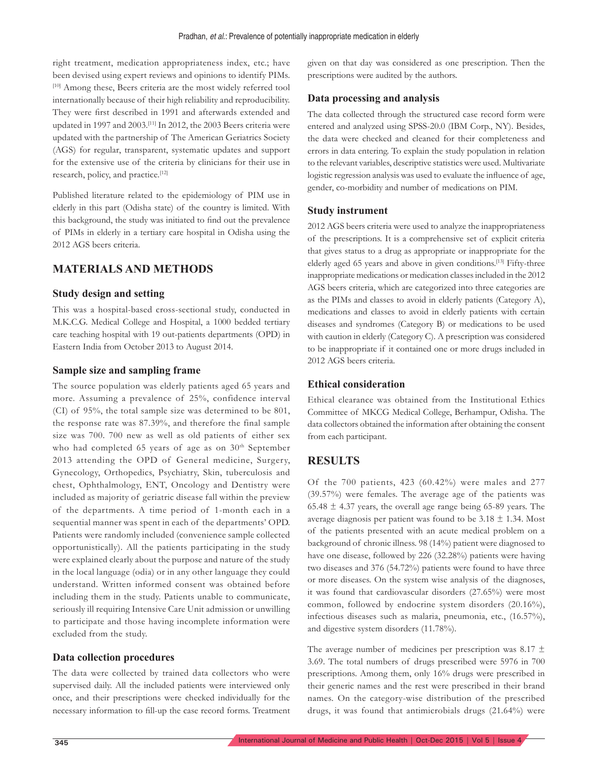right treatment, medication appropriateness index, etc.; have been devised using expert reviews and opinions to identify PIMs. [10] Among these, Beers criteria are the most widely referred tool internationally because of their high reliability and reproducibility. They were first described in 1991 and afterwards extended and updated in 1997 and 2003.[11] In 2012, the 2003 Beers criteria were updated with the partnership of The American Geriatrics Society (AGS) for regular, transparent, systematic updates and support for the extensive use of the criteria by clinicians for their use in research, policy, and practice.<sup>[12]</sup>

Published literature related to the epidemiology of PIM use in elderly in this part (Odisha state) of the country is limited. With this background, the study was initiated to find out the prevalence of PIMs in elderly in a tertiary care hospital in Odisha using the 2012 AGS beers criteria.

#### **MATERIALS AND METHODS**

#### **Study design and setting**

This was a hospital-based cross-sectional study, conducted in M.K.C.G. Medical College and Hospital, a 1000 bedded tertiary care teaching hospital with 19 out-patients departments (OPD) in Eastern India from October 2013 to August 2014.

#### **Sample size and sampling frame**

The source population was elderly patients aged 65 years and more. Assuming a prevalence of 25%, confidence interval (CI) of 95%, the total sample size was determined to be 801, the response rate was 87.39%, and therefore the final sample size was 700. 700 new as well as old patients of either sex who had completed 65 years of age as on  $30<sup>th</sup>$  September 2013 attending the OPD of General medicine, Surgery, Gynecology, Orthopedics, Psychiatry, Skin, tuberculosis and chest, Ophthalmology, ENT, Oncology and Dentistry were included as majority of geriatric disease fall within the preview of the departments. A time period of 1-month each in a sequential manner was spent in each of the departments' OPD. Patients were randomly included (convenience sample collected opportunistically). All the patients participating in the study were explained clearly about the purpose and nature of the study in the local language (odia) or in any other language they could understand. Written informed consent was obtained before including them in the study. Patients unable to communicate, seriously ill requiring Intensive Care Unit admission or unwilling to participate and those having incomplete information were excluded from the study.

#### **Data collection procedures**

The data were collected by trained data collectors who were supervised daily. All the included patients were interviewed only once, and their prescriptions were checked individually for the necessary information to fill-up the case record forms. Treatment given on that day was considered as one prescription. Then the prescriptions were audited by the authors.

#### **Data processing and analysis**

The data collected through the structured case record form were entered and analyzed using SPSS-20.0 (IBM Corp., NY). Besides, the data were checked and cleaned for their completeness and errors in data entering. To explain the study population in relation to the relevant variables, descriptive statistics were used. Multivariate logistic regression analysis was used to evaluate the influence of age, gender, co-morbidity and number of medications on PIM.

#### **Study instrument**

2012 AGS beers criteria were used to analyze the inappropriateness of the prescriptions. It is a comprehensive set of explicit criteria that gives status to a drug as appropriate or inappropriate for the elderly aged 65 years and above in given conditions.<sup>[13]</sup> Fifty-three inappropriate medications or medication classes included in the 2012 AGS beers criteria, which are categorized into three categories are as the PIMs and classes to avoid in elderly patients (Category A), medications and classes to avoid in elderly patients with certain diseases and syndromes (Category B) or medications to be used with caution in elderly (Category C). A prescription was considered to be inappropriate if it contained one or more drugs included in 2012 AGS beers criteria.

#### **Ethical consideration**

Ethical clearance was obtained from the Institutional Ethics Committee of MKCG Medical College, Berhampur, Odisha. The data collectors obtained the information after obtaining the consent from each participant.

#### **RESULTS**

Of the 700 patients, 423 (60.42%) were males and 277 (39.57%) were females. The average age of the patients was 65.48  $\pm$  4.37 years, the overall age range being 65-89 years. The average diagnosis per patient was found to be  $3.18 \pm 1.34$ . Most of the patients presented with an acute medical problem on a background of chronic illness. 98 (14%) patient were diagnosed to have one disease, followed by 226 (32.28%) patients were having two diseases and 376 (54.72%) patients were found to have three or more diseases. On the system wise analysis of the diagnoses, it was found that cardiovascular disorders (27.65%) were most common, followed by endocrine system disorders (20.16%), infectious diseases such as malaria, pneumonia, etc., (16.57%), and digestive system disorders (11.78%).

The average number of medicines per prescription was 8.17  $\pm$ 3.69. The total numbers of drugs prescribed were 5976 in 700 prescriptions. Among them, only 16% drugs were prescribed in their generic names and the rest were prescribed in their brand names. On the category-wise distribution of the prescribed drugs, it was found that antimicrobials drugs (21.64%) were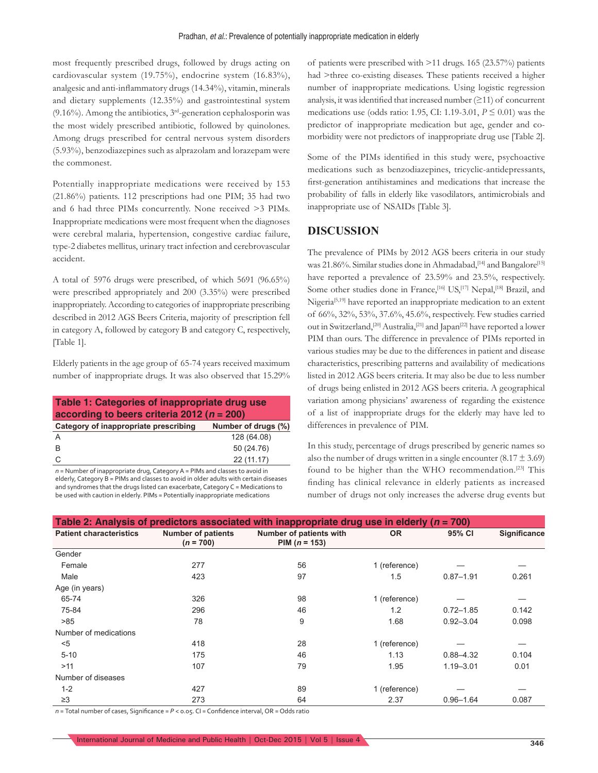most frequently prescribed drugs, followed by drugs acting on cardiovascular system (19.75%), endocrine system (16.83%), analgesic and anti-inflammatory drugs (14.34%), vitamin, minerals and dietary supplements (12.35%) and gastrointestinal system (9.16%). Among the antibiotics,  $3<sup>rd</sup>$ -generation cephalosporin was the most widely prescribed antibiotic, followed by quinolones. Among drugs prescribed for central nervous system disorders (5.93%), benzodiazepines such as alprazolam and lorazepam were the commonest.

Potentially inappropriate medications were received by 153 (21.86%) patients. 112 prescriptions had one PIM; 35 had two and 6 had three PIMs concurrently. None received >3 PIMs. Inappropriate medications were most frequent when the diagnoses were cerebral malaria, hypertension, congestive cardiac failure, type-2 diabetes mellitus, urinary tract infection and cerebrovascular accident.

A total of 5976 drugs were prescribed, of which 5691 (96.65%) were prescribed appropriately and 200 (3.35%) were prescribed inappropriately. According to categories of inappropriate prescribing described in 2012 AGS Beers Criteria, majority of prescription fell in category A, followed by category B and category C, respectively, [Table 1].

Elderly patients in the age group of 65-74 years received maximum number of inappropriate drugs. It was also observed that 15.29%

**Table 1: Categories of inappropriate drug use according to beers criteria 2012 (***n* **= 200) Category of inappropriate prescribing Number of drugs (%)** A 128 (64.08) B 50 (24.76) C 22 (11.17) *n* = Number of inappropriate drug, Category A = PIMs and classes to avoid in

elderly, Category B = PIMs and classes to avoid in older adults with certain diseases and syndromes that the drugs listed can exacerbate, Category C = Medications to be used with caution in elderly. PIMs = Potentially inappropriate medications

of patients were prescribed with >11 drugs. 165 (23.57%) patients had >three co-existing diseases. These patients received a higher number of inappropriate medications. Using logistic regression analysis, it was identified that increased number  $(≥11)$  of concurrent medications use (odds ratio: 1.95, CI: 1.19-3.01, *P* ≤ 0.01) was the predictor of inappropriate medication but age, gender and comorbidity were not predictors of inappropriate drug use [Table 2].

Some of the PIMs identified in this study were, psychoactive medications such as benzodiazepines, tricyclic-antidepressants, first-generation antihistamines and medications that increase the probability of falls in elderly like vasodilators, antimicrobials and inappropriate use of NSAIDs [Table 3].

#### **DISCUSSION**

The prevalence of PIMs by 2012 AGS beers criteria in our study was 21.86%. Similar studies done in Ahmadabad,<sup>[14]</sup> and Bangalore<sup>[15]</sup> have reported a prevalence of 23.59% and 23.5%, respectively. Some other studies done in France,<sup>[16]</sup> US,<sup>[17]</sup> Nepal,<sup>[18]</sup> Brazil, and Nigeria<sup>[5,19]</sup> have reported an inappropriate medication to an extent of 66%, 32%, 53%, 37.6%, 45.6%, respectively. Few studies carried out in Switzerland,<sup>[20]</sup> Australia,<sup>[21]</sup> and Japan<sup>[22]</sup> have reported a lower PIM than ours. The difference in prevalence of PIMs reported in various studies may be due to the differences in patient and disease characteristics, prescribing patterns and availability of medications listed in 2012 AGS beers criteria. It may also be due to less number of drugs being enlisted in 2012 AGS beers criteria. A geographical variation among physicians' awareness of regarding the existence of a list of inappropriate drugs for the elderly may have led to differences in prevalence of PIM.

In this study, percentage of drugs prescribed by generic names so also the number of drugs written in a single encounter  $(8.17 \pm 3.69)$ found to be higher than the WHO recommendation.<sup>[23]</sup> This finding has clinical relevance in elderly patients as increased number of drugs not only increases the adverse drug events but

| Table 2: Analysis of predictors associated with inappropriate drug use in elderly ( $n = 700$ ) |                                          |                                            |               |               |              |
|-------------------------------------------------------------------------------------------------|------------------------------------------|--------------------------------------------|---------------|---------------|--------------|
| <b>Patient characteristics</b>                                                                  | <b>Number of patients</b><br>$(n = 700)$ | Number of patients with<br>PIM $(n = 153)$ | <b>OR</b>     | 95% CI        | Significance |
| Gender                                                                                          |                                          |                                            |               |               |              |
| Female                                                                                          | 277                                      | 56                                         | 1 (reference) |               |              |
| Male                                                                                            | 423                                      | 97                                         | 1.5           | $0.87 - 1.91$ | 0.261        |
| Age (in years)                                                                                  |                                          |                                            |               |               |              |
| 65-74                                                                                           | 326                                      | 98                                         | 1 (reference) |               |              |
| 75-84                                                                                           | 296                                      | 46                                         | 1.2           | $0.72 - 1.85$ | 0.142        |
| >85                                                                                             | 78                                       | 9                                          | 1.68          | $0.92 - 3.04$ | 0.098        |
| Number of medications                                                                           |                                          |                                            |               |               |              |
| $<$ 5                                                                                           | 418                                      | 28                                         | 1 (reference) |               |              |
| $5 - 10$                                                                                        | 175                                      | 46                                         | 1.13          | $0.88 - 4.32$ | 0.104        |
| >11                                                                                             | 107                                      | 79                                         | 1.95          | $1.19 - 3.01$ | 0.01         |
| Number of diseases                                                                              |                                          |                                            |               |               |              |
| $1 - 2$                                                                                         | 427                                      | 89                                         | 1 (reference) |               |              |
| $\geq$ 3                                                                                        | 273                                      | 64                                         | 2.37          | $0.96 - 1.64$ | 0.087        |

*n =* Total number of cases, Significance = *P* < 0.05. CI = Confidence interval, OR = Odds ratio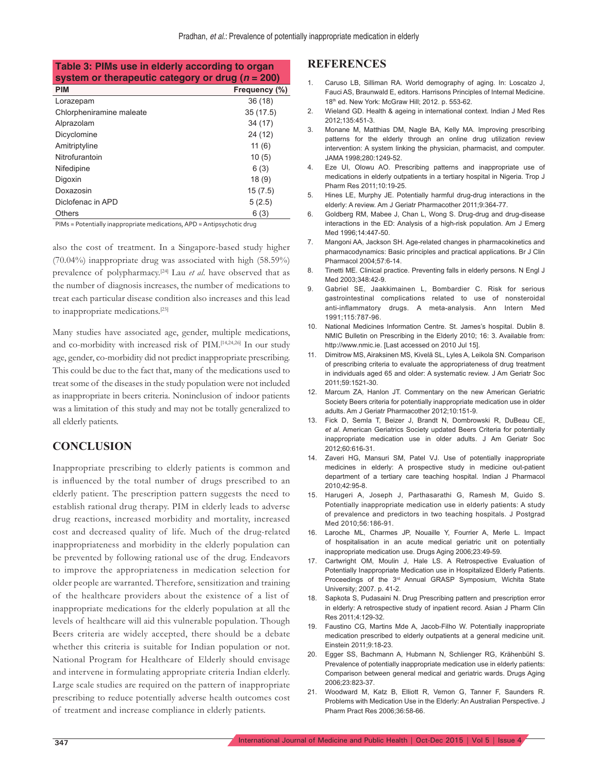**Table 3: PIMs use in elderly according to organ system or therapeutic category or drug (***n* **= 200)**

| <b>PIM</b>               | Frequency (%) |
|--------------------------|---------------|
| Lorazepam                | 36(18)        |
| Chlorpheniramine maleate | 35(17.5)      |
| Alprazolam               | 34 (17)       |
| Dicyclomine              | 24 (12)       |
| Amitriptyline            | 11(6)         |
| Nitrofurantoin           | 10(5)         |
| Nifedipine               | 6(3)          |
| Digoxin                  | 18(9)         |
| Doxazosin                | 15(7.5)       |
| Diclofenac in APD        | 5(2.5)        |
| Others                   | 6 (3)         |

PIMs = Potentially inappropriate medications, APD = Antipsychotic drug

also the cost of treatment. In a Singapore-based study higher (70.04%) inappropriate drug was associated with high (58.59%) prevalence of polypharmacy.[24] Lau *et al*. have observed that as the number of diagnosis increases, the number of medications to treat each particular disease condition also increases and this lead to inappropriate medications.[25]

Many studies have associated age, gender, multiple medications, and co-morbidity with increased risk of PIM.[14,24,26] In our study age, gender, co-morbidity did not predict inappropriate prescribing. This could be due to the fact that, many of the medications used to treat some of the diseases in the study population were not included as inappropriate in beers criteria. Noninclusion of indoor patients was a limitation of this study and may not be totally generalized to all elderly patients.

#### **CONCLUSION**

Inappropriate prescribing to elderly patients is common and is influenced by the total number of drugs prescribed to an elderly patient. The prescription pattern suggests the need to establish rational drug therapy. PIM in elderly leads to adverse drug reactions, increased morbidity and mortality, increased cost and decreased quality of life. Much of the drug-related inappropriateness and morbidity in the elderly population can be prevented by following rational use of the drug. Endeavors to improve the appropriateness in medication selection for older people are warranted. Therefore, sensitization and training of the healthcare providers about the existence of a list of inappropriate medications for the elderly population at all the levels of healthcare will aid this vulnerable population. Though Beers criteria are widely accepted, there should be a debate whether this criteria is suitable for Indian population or not. National Program for Healthcare of Elderly should envisage and intervene in formulating appropriate criteria Indian elderly. Large scale studies are required on the pattern of inappropriate prescribing to reduce potentially adverse health outcomes cost of treatment and increase compliance in elderly patients.

#### **REFERENCES**

- 1. Caruso LB, Silliman RA. World demography of aging. In: Loscalzo J, Fauci AS, Braunwald E, editors. Harrisons Principles of Internal Medicine. 18th ed. New York: McGraw Hill; 2012. p. 553-62.
- 2. Wieland GD. Health & ageing in international context. Indian J Med Res 2012;135:451-3.
- 3. Monane M, Matthias DM, Nagle BA, Kelly MA. Improving prescribing patterns for the elderly through an online drug utilization review intervention: A system linking the physician, pharmacist, and computer. JAMA 1998;280:1249-52.
- Eze UI, Olowu AO. Prescribing patterns and inappropriate use of medications in elderly outpatients in a tertiary hospital in Nigeria. Trop J Pharm Res 2011;10:19-25.
- 5. Hines LE, Murphy JE. Potentially harmful drug-drug interactions in the elderly: A review. Am J Geriatr Pharmacother 2011;9:364-77.
- 6. Goldberg RM, Mabee J, Chan L, Wong S. Drug-drug and drug-disease interactions in the ED: Analysis of a high-risk population. Am J Emerg Med 1996;14:447-50.
- 7. Mangoni AA, Jackson SH. Age-related changes in pharmacokinetics and pharmacodynamics: Basic principles and practical applications. Br J Clin Pharmacol 2004;57:6-14.
- 8. Tinetti ME. Clinical practice. Preventing falls in elderly persons. N Engl J Med 2003;348:42-9.
- 9. Gabriel SE, Jaakkimainen L, Bombardier C. Risk for serious gastrointestinal complications related to use of nonsteroidal anti-inflammatory drugs. A meta-analysis. Ann Intern Med 1991;115:787-96.
- 10. National Medicines Information Centre. St. James's hospital. Dublin 8. NMIC Bulletin on Prescribing in the Elderly 2010; 16: 3. Available from: http://www.nmic.ie. [Last accessed on 2010 Jul 15].
- 11. Dimitrow MS, Airaksinen MS, Kivelä SL, Lyles A, Leikola SN. Comparison of prescribing criteria to evaluate the appropriateness of drug treatment in individuals aged 65 and older: A systematic review. J Am Geriatr Soc 2011;59:1521-30.
- 12. Marcum ZA, Hanlon JT. Commentary on the new American Geriatric Society Beers criteria for potentially inappropriate medication use in older adults. Am J Geriatr Pharmacother 2012;10:151-9.
- 13. Fick D, Semla T, Beizer J, Brandt N, Dombrowski R, DuBeau CE, *et al*. American Geriatrics Society updated Beers Criteria for potentially inappropriate medication use in older adults. J Am Geriatr Soc 2012;60:616-31.
- 14. Zaveri HG, Mansuri SM, Patel VJ. Use of potentially inappropriate medicines in elderly: A prospective study in medicine out-patient department of a tertiary care teaching hospital. Indian J Pharmacol 2010;42:95-8.
- 15. Harugeri A, Joseph J, Parthasarathi G, Ramesh M, Guido S. Potentially inappropriate medication use in elderly patients: A study of prevalence and predictors in two teaching hospitals. J Postgrad Med 2010;56:186-91.
- 16. Laroche ML, Charmes JP, Nouaille Y, Fourrier A, Merle L. Impact of hospitalisation in an acute medical geriatric unit on potentially inappropriate medication use. Drugs Aging 2006;23:49-59.
- 17. Cartwright OM, Moulin J, Hale LS. A Retrospective Evaluation of Potentially Inappropriate Medication use in Hospitalized Elderly Patients. Proceedings of the 3<sup>rd</sup> Annual GRASP Symposium, Wichita State University; 2007. p. 41-2.
- 18. Sapkota S, Pudasaini N. Drug Prescribing pattern and prescription error in elderly: A retrospective study of inpatient record. Asian J Pharm Clin Res 2011;4:129-32.
- 19. Faustino CG, Martins Mde A, Jacob-Filho W. Potentially inappropriate medication prescribed to elderly outpatients at a general medicine unit. Einstein 2011;9:18-23.
- 20. Egger SS, Bachmann A, Hubmann N, Schlienger RG, Krähenbühl S. Prevalence of potentially inappropriate medication use in elderly patients: Comparison between general medical and geriatric wards. Drugs Aging 2006;23:823-37.
- 21. Woodward M, Katz B, Elliott R, Vernon G, Tanner F, Saunders R. Problems with Medication Use in the Elderly: An Australian Perspective. J Pharm Pract Res 2006;36:58-66.